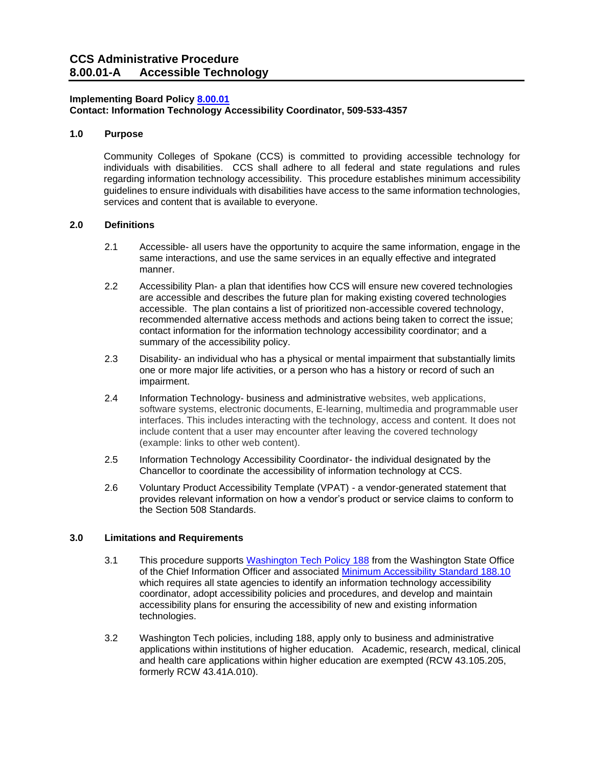### **Implementing Board Policy [8.00.01](https://ccs.spokane.edu/About-Us/Leadership/Board-of-Trustees/Policies-Procedures/Chapter8)**

**Contact: Information Technology Accessibility Coordinator, 509-533-4357**

# **1.0 Purpose**

Community Colleges of Spokane (CCS) is committed to providing accessible technology for individuals with disabilities. CCS shall adhere to all federal and state regulations and rules regarding information technology accessibility. This procedure establishes minimum accessibility guidelines to ensure individuals with disabilities have access to the same information technologies, services and content that is available to everyone.

## **2.0 Definitions**

- 2.1 Accessible- all users have the opportunity to acquire the same information, engage in the same interactions, and use the same services in an equally effective and integrated manner.
- 2.2 Accessibility Plan- a plan that identifies how CCS will ensure new covered technologies are accessible and describes the future plan for making existing covered technologies accessible. The plan contains a list of prioritized non-accessible covered technology, recommended alternative access methods and actions being taken to correct the issue; contact information for the information technology accessibility coordinator; and a summary of the accessibility policy.
- 2.3 Disability- an individual who has a physical or mental impairment that substantially limits one or more major life activities, or a person who has a history or record of such an impairment.
- 2.4 Information Technology- business and administrative websites, web applications, software systems, electronic documents, E-learning, multimedia and programmable user interfaces. This includes interacting with the technology, access and content. It does not include content that a user may encounter after leaving the covered technology (example: links to other web content).
- 2.5 Information Technology Accessibility Coordinator- the individual designated by the Chancellor to coordinate the accessibility of information technology at CCS.
- 2.6 Voluntary Product Accessibility Template (VPAT) a vendor-generated statement that provides relevant information on how a vendor's product or service claims to conform to the Section 508 Standards.

# **3.0 Limitations and Requirements**

- 3.1 This procedure supports [Washington Tech Policy 188](https://ocio.wa.gov/policy/accessibility) from the Washington State Office of the Chief Information Officer and associated [Minimum Accessibility Standard 188.10](https://ocio.wa.gov/policy/minimum-accessibility-standard) which requires all state agencies to identify an information technology accessibility coordinator, adopt accessibility policies and procedures, and develop and maintain accessibility plans for ensuring the accessibility of new and existing information technologies.
- 3.2 Washington Tech policies, including 188, apply only to business and administrative applications within institutions of higher education. Academic, research, medical, clinical and health care applications within higher education are exempted (RCW 43.105.205, formerly RCW 43.41A.010).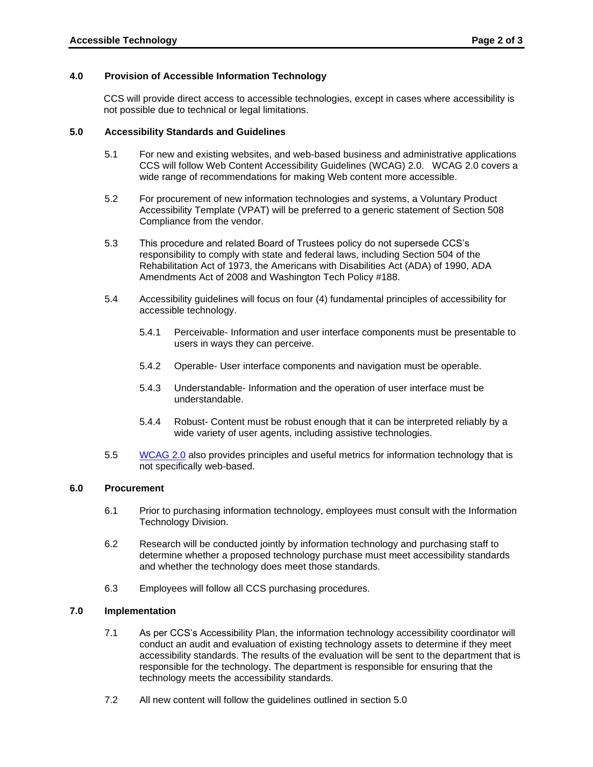### **4.0 Provision of Accessible Information Technology**

CCS will provide direct access to accessible technologies, except in cases where accessibility is not possible due to technical or legal limitations.

#### **5.0 Accessibility Standards and Guidelines**

- 5.1 For new and existing websites, and web-based business and administrative applications CCS will follow Web Content Accessibility Guidelines (WCAG) 2.0. WCAG 2.0 covers a wide range of recommendations for making Web content more accessible.
- 5.2 For procurement of new information technologies and systems, a Voluntary Product Accessibility Template (VPAT) will be preferred to a generic statement of Section 508 Compliance from the vendor.
- 5.3 This procedure and related Board of Trustees policy do not supersede CCS's responsibility to comply with state and federal laws, including Section 504 of the Rehabilitation Act of 1973, the Americans with Disabilities Act (ADA) of 1990, ADA Amendments Act of 2008 and Washington Tech Policy #188.
- 5.4 Accessibility guidelines will focus on four (4) fundamental principles of accessibility for accessible technology.
	- 5.4.1 Perceivable- Information and user interface components must be presentable to users in ways they can perceive.
	- 5.4.2 Operable- User interface components and navigation must be operable.
	- 5.4.3 Understandable- Information and the operation of user interface must be understandable.
	- 5.4.4 Robust- Content must be robust enough that it can be interpreted reliably by a wide variety of user agents, including assistive technologies.
- 5.5 [WCAG 2.0](https://www.w3.org/TR/WCAG20/) also provides principles and useful metrics for information technology that is not specifically web-based.

#### **6.0 Procurement**

- 6.1 Prior to purchasing information technology, employees must consult with the Information Technology Division.
- 6.2 Research will be conducted jointly by information technology and purchasing staff to determine whether a proposed technology purchase must meet accessibility standards and whether the technology does meet those standards.
- 6.3 Employees will follow all CCS purchasing procedures.

### **7.0 Implementation**

- 7.1 As per CCS's Accessibility Plan, the information technology accessibility coordinator will conduct an audit and evaluation of existing technology assets to determine if they meet accessibility standards. The results of the evaluation will be sent to the department that is responsible for the technology. The department is responsible for ensuring that the technology meets the accessibility standards.
- 7.2 All new content will follow the guidelines outlined in section 5.0